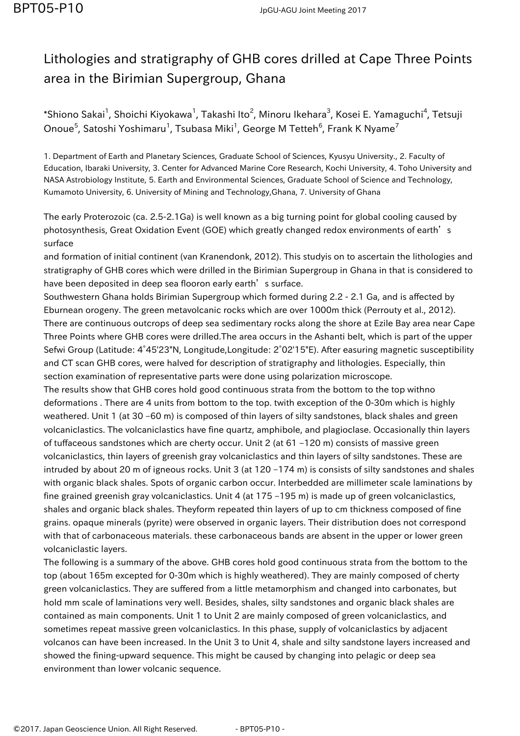## Lithologies and stratigraphy of GHB cores drilled at Cape Three Points area in the Birimian Supergroup, Ghana

 $\,$ \*Shiono Sakai $^1$ , Shoichi Kiyokawa $^1$ , Takashi Ito $^2$ , Minoru Ikehara $^3$ , Kosei E. Yamaguchi $^4$ , Tetsuji Onoue $^5$ , Satoshi Yoshimaru $^1$ , Tsubasa Miki $^1$ , George M Tetteh $^6$ , Frank K Nyame $^7$ 

1. Department of Earth and Planetary Sciences, Graduate School of Sciences, Kyusyu University., 2. Faculty of Education, Ibaraki University, 3. Center for Advanced Marine Core Research, Kochi University, 4. Toho University and NASA Astrobiology Institute, 5. Earth and Environmental Sciences, Graduate School of Science and Technology, Kumamoto University, 6. University of Mining and Technology,Ghana, 7. University of Ghana

The early Proterozoic (ca. 2.5-2.1Ga) is well known as a big turning point for global cooling caused by photosynthesis, Great Oxidation Event (GOE) which greatly changed redox environments of earth's surface

and formation of initial continent (van Kranendonk, 2012). This studyis on to ascertain the lithologies and stratigraphy of GHB cores which were drilled in the Birimian Supergroup in Ghana in that is considered to have been deposited in deep sea flooron early earth's surface.

Southwestern Ghana holds Birimian Supergroup which formed during 2.2 - 2.1 Ga, and is affected by Eburnean orogeny. The green metavolcanic rocks which are over 1000m thick (Perrouty et al., 2012). There are continuous outcrops of deep sea sedimentary rocks along the shore at Ezile Bay area near Cape Three Points where GHB cores were drilled.The area occurs in the Ashanti belt, which is part of the upper Sefwi Group (Latitude: 4°45'23"N, Longitude,Longitude: 2°02'15"E). After easuring magnetic susceptibility and CT scan GHB cores, were halved for description of stratigraphy and lithologies. Especially, thin section examination of representative parts were done using polarization microscope.

The results show that GHB cores hold good continuous strata from the bottom to the top withno deformations . There are 4 units from bottom to the top. twith exception of the 0-30m which is highly weathered. Unit 1 (at 30 –60 m) is composed of thin layers of silty sandstones, black shales and green volcaniclastics. The volcaniclastics have fine quartz, amphibole, and plagioclase. Occasionally thin layers of tuffaceous sandstones which are cherty occur. Unit 2 (at 61 –120 m) consists of massive green volcaniclastics, thin layers of greenish gray volcaniclastics and thin layers of silty sandstones. These are intruded by about 20 m of igneous rocks. Unit 3 (at 120 –174 m) is consists of silty sandstones and shales with organic black shales. Spots of organic carbon occur. Interbedded are millimeter scale laminations by fine grained greenish gray volcaniclastics. Unit 4 (at 175 –195 m) is made up of green volcaniclastics, shales and organic black shales. Theyform repeated thin layers of up to cm thickness composed of fine grains. opaque minerals (pyrite) were observed in organic layers. Their distribution does not correspond with that of carbonaceous materials. these carbonaceous bands are absent in the upper or lower green volcaniclastic layers.

The following is a summary of the above. GHB cores hold good continuous strata from the bottom to the top (about 165m excepted for 0-30m which is highly weathered). They are mainly composed of cherty green volcaniclastics. They are suffered from a little metamorphism and changed into carbonates, but hold mm scale of laminations very well. Besides, shales, silty sandstones and organic black shales are contained as main components. Unit 1 to Unit 2 are mainly composed of green volcaniclastics, and sometimes repeat massive green volcaniclastics. In this phase, supply of volcaniclastics by adjacent volcanos can have been increased. In the Unit 3 to Unit 4, shale and silty sandstone layers increased and showed the fining-upward sequence. This might be caused by changing into pelagic or deep sea environment than lower volcanic sequence.